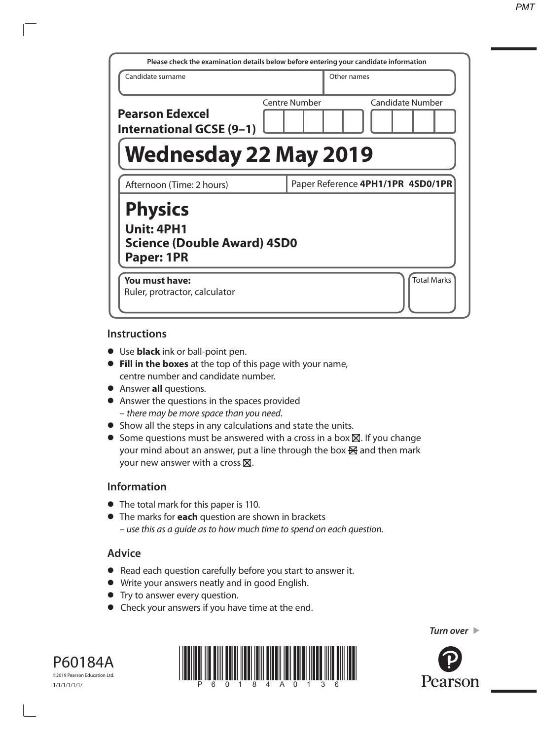| Candidate surname                                                                              |                      | Please check the examination details below before entering your candidate information<br>Other names |
|------------------------------------------------------------------------------------------------|----------------------|------------------------------------------------------------------------------------------------------|
| <b>Pearson Edexcel</b><br><b>International GCSE (9-1)</b>                                      | <b>Centre Number</b> | <b>Candidate Number</b>                                                                              |
| <b>Wednesday 22 May 2019</b>                                                                   |                      |                                                                                                      |
| Afternoon (Time: 2 hours)                                                                      |                      | Paper Reference 4PH1/1PR 4SD0/1PR                                                                    |
| <b>Physics</b><br><b>Unit: 4PH1</b><br><b>Science (Double Award) 4SD0</b><br><b>Paper: 1PR</b> |                      |                                                                                                      |
| You must have:<br>Ruler, protractor, calculator                                                |                      | <b>Total Marks</b>                                                                                   |

## **Instructions**

- **•** Use **black** ink or ball-point pen.
- **• Fill in the boxes** at the top of this page with your name, centre number and candidate number.
- **•** Answer **all** questions.
- **•** Answer the questions in the spaces provided – *there may be more space than you need*.
- **•** Show all the steps in any calculations and state the units.
- Some questions must be answered with a cross in a box  $\boxtimes$ . If you change your mind about an answer, put a line through the box  $\mathbb X$  and then mark your new answer with a cross  $\times$ .

## **Information**

- **•** The total mark for this paper is 110.
- **•** The marks for **each** question are shown in brackets *– use this as a guide as to how much time to spend on each question.*

## **Advice**

- **•** Read each question carefully before you start to answer it.
- **•** Write your answers neatly and in good English.
- **•** Try to answer every question.
- **•** Check your answers if you have time at the end.







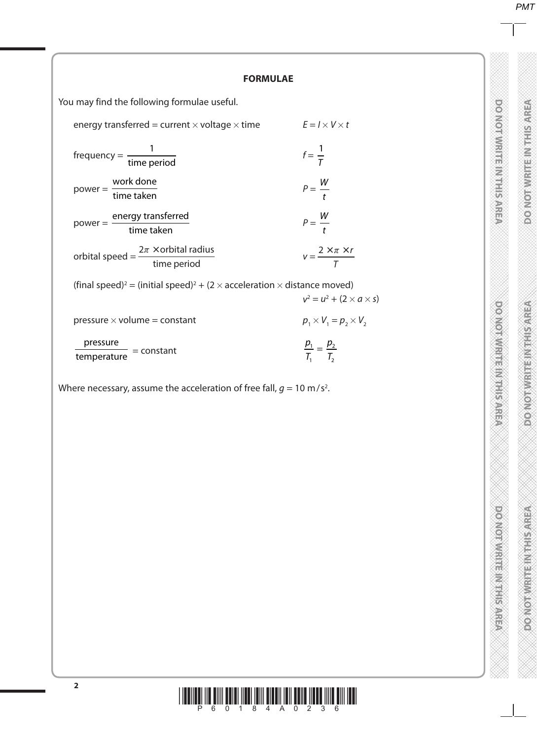# **DO NOTWRITE INTHIS AREA DO NOT WRITE IN THIS AREA DO NOT WRITE IN THIS AREA DO NOT WRITE IN THIS AREA ABRASHARMENT MOVOO**

**DO NOT WRITE IN THIS AREA**

**DOMORATION IN THE SARE** 

**DO NOT WRITE IN THIS AREA** 

DO NOTWRITE IN THIS AREA

**DO NOT WRITE IN THIS AREA**

**DO NOTAIRTE INTELECTED** 

| <b>FORMULAE</b>                                                                                               |                                          |
|---------------------------------------------------------------------------------------------------------------|------------------------------------------|
| You may find the following formulae useful.                                                                   |                                          |
| energy transferred = current $\times$ voltage $\times$ time                                                   | $E = I \times V \times t$                |
| $frequency = \frac{1}{time period}$                                                                           | $f = \frac{1}{T}$                        |
| $power = \frac{work \, done}{time \, taken}$                                                                  | $P = \frac{W}{t}$                        |
| $power = \frac{energy\ transferred}{time\ taken}$                                                             | $P = \frac{W}{A}$                        |
| orbital speed = $\frac{2\pi \times \text{orbital radius}}{\text{time period}}$                                | $v = \frac{2 \times \pi \times r}{\tau}$ |
| (final speed) <sup>2</sup> = (initial speed) <sup>2</sup> + (2 $\times$ acceleration $\times$ distance moved) | $v^2 = u^2 + (2 \times a \times s)$      |
| pressure $\times$ volume = constant                                                                           | $p_1 \times V_1 = p_2 \times V_2$        |
| pressure<br>$temperature = constant$                                                                          | $\frac{p_1}{T_1} = \frac{p_2}{T_2}$      |
|                                                                                                               |                                          |

Where necessary, assume the acceleration of free fall,  $g = 10 \text{ m/s}^2$ .

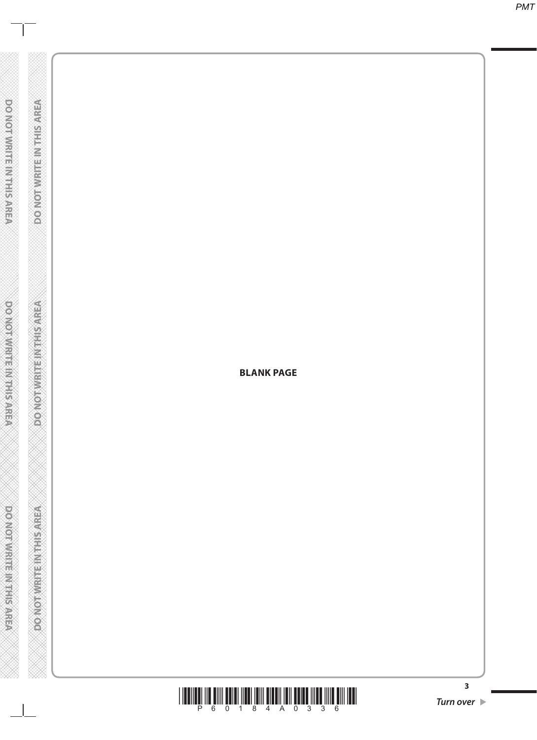| Turn over |  |  |                       |  |  |  |  |
|-----------|--|--|-----------------------|--|--|--|--|
|           |  |  | P 6 0 1 8 4 A 0 3 3 6 |  |  |  |  |

**DONOT WRITE IN THIS AREA** 

**DO NOT WRITE IN THIS AREA**

**DOOMANTENNESSER** 

 $\mathbb{R}$ 

**DO NOT WRITE IN THIS AREA DO NOT WRITE IN THIS AREA DO NOT WRITE IN THIS AREA DO NOT WRITE IN THIS AREA**

**BLANK PAGE**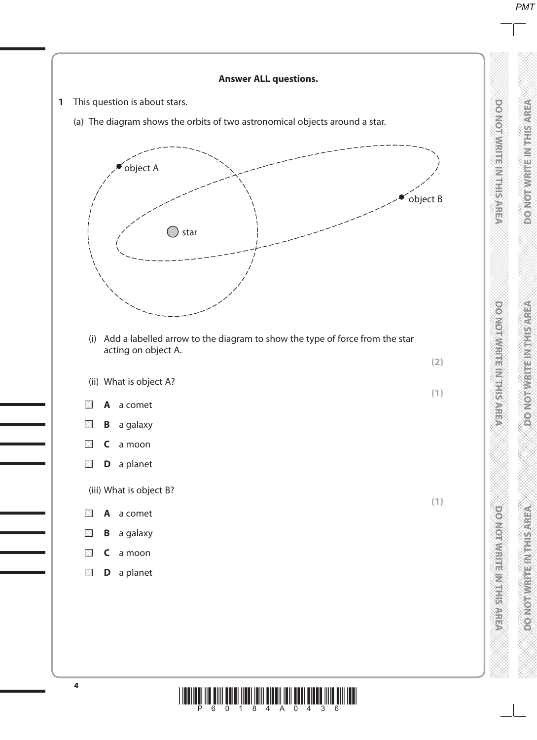

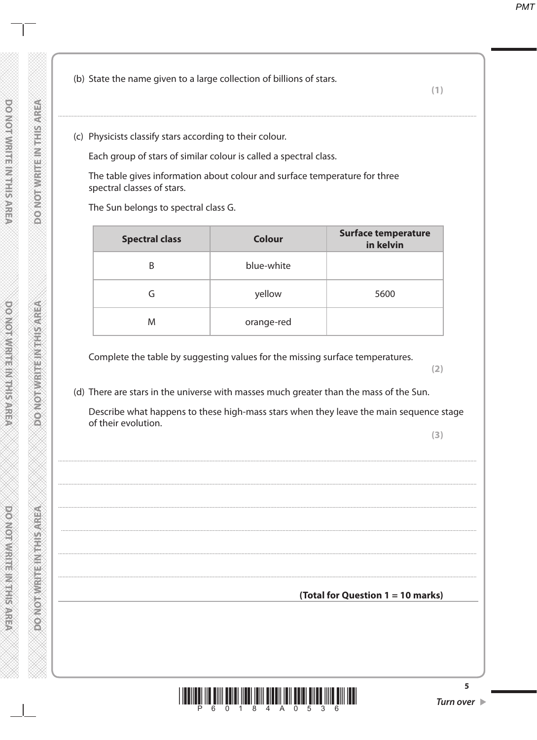- (b) State the name given to a large collection of billions of stars.
- (c) Physicists classify stars according to their colour.

Each group of stars of similar colour is called a spectral class.

The table gives information about colour and surface temperature for three spectral classes of stars.

The Sun belongs to spectral class G.

| <b>Spectral class</b> | <b>Colour</b> | <b>Surface temperature</b><br>in kelvin |
|-----------------------|---------------|-----------------------------------------|
| R                     | blue-white    |                                         |
| G                     | yellow        | 5600                                    |
| M                     | orange-red    |                                         |

Complete the table by suggesting values for the missing surface temperatures.

(d) There are stars in the universe with masses much greater than the mass of the Sun.

Describe what happens to these high-mass stars when they leave the main sequence stage of their evolution.

 $(3)$ 

 $(2)$ 

 $(1)$ 

(Total for Question 1 = 10 marks)



5

**THIS ATE** 

**DONOTWRTEIN** 

**ONORWRITE(NT)** 

Ø ī. Ž

Ö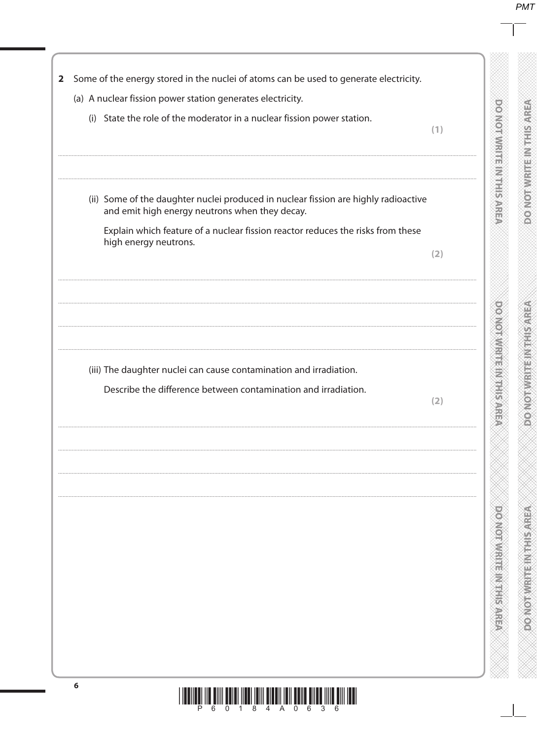| Some of the energy stored in the nuclei of atoms can be used to generate electricity.<br>(a) A nuclear fission power station generates electricity.                                                                                               |     |                                |
|---------------------------------------------------------------------------------------------------------------------------------------------------------------------------------------------------------------------------------------------------|-----|--------------------------------|
| (i) State the role of the moderator in a nuclear fission power station.                                                                                                                                                                           | (1) | $\overline{\bullet}$           |
| (ii) Some of the daughter nuclei produced in nuclear fission are highly radioactive<br>and emit high energy neutrons when they decay.<br>Explain which feature of a nuclear fission reactor reduces the risks from these<br>high energy neutrons. | (2) | <b>Morwiths Indian Society</b> |
|                                                                                                                                                                                                                                                   |     | <b>POINCIAN HELE</b>           |
| (iii) The daughter nuclei can cause contamination and irradiation.<br>Describe the difference between contamination and irradiation.                                                                                                              | 2.  |                                |
|                                                                                                                                                                                                                                                   |     |                                |
|                                                                                                                                                                                                                                                   |     |                                |
| 6<br><u> AN HEILIAN DE BERLAND DI BATTAN DI BATTAN DI BATTAN DI BATTAN DI BATTAN DI BATTAN DI BATTAN DI BATTAN DI BATT</u>                                                                                                                        |     |                                |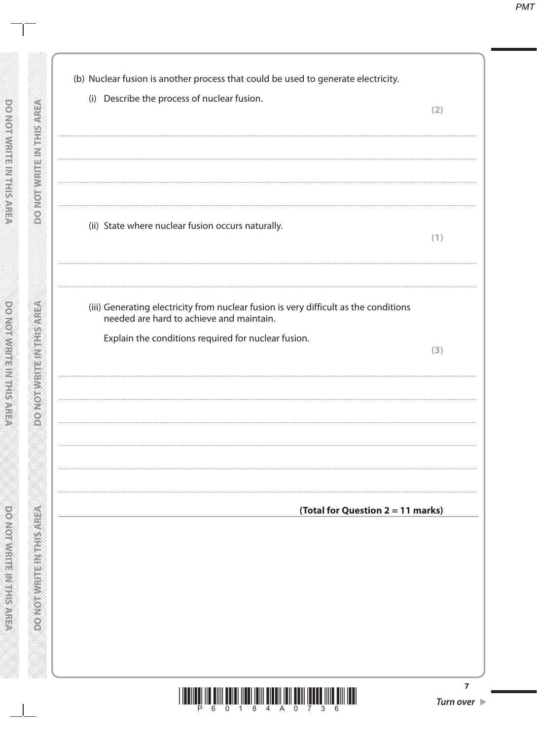| (i) Describe the process of nuclear fusion.                                                                                      | (b) Nuclear fusion is another process that could be used to generate electricity. |
|----------------------------------------------------------------------------------------------------------------------------------|-----------------------------------------------------------------------------------|
|                                                                                                                                  | (2)                                                                               |
|                                                                                                                                  |                                                                                   |
|                                                                                                                                  |                                                                                   |
|                                                                                                                                  |                                                                                   |
| (ii) State where nuclear fusion occurs naturally.                                                                                | (1)                                                                               |
|                                                                                                                                  |                                                                                   |
| (iii) Generating electricity from nuclear fusion is very difficult as the conditions<br>needed are hard to achieve and maintain. |                                                                                   |
| Explain the conditions required for nuclear fusion.                                                                              | (3)                                                                               |
|                                                                                                                                  |                                                                                   |
|                                                                                                                                  |                                                                                   |
|                                                                                                                                  |                                                                                   |
|                                                                                                                                  |                                                                                   |
|                                                                                                                                  |                                                                                   |
| (Total for Question 2 = 11 marks)                                                                                                |                                                                                   |
|                                                                                                                                  |                                                                                   |
|                                                                                                                                  |                                                                                   |
|                                                                                                                                  |                                                                                   |
|                                                                                                                                  |                                                                                   |
|                                                                                                                                  |                                                                                   |
|                                                                                                                                  |                                                                                   |

 $\overline{\phantom{a}}$ 

DO NOTWRITE IN THIS AREA

**DONOLMENTER** HISTORICA

**DO NOT WRITE IN THIS AREA** 

K<br>K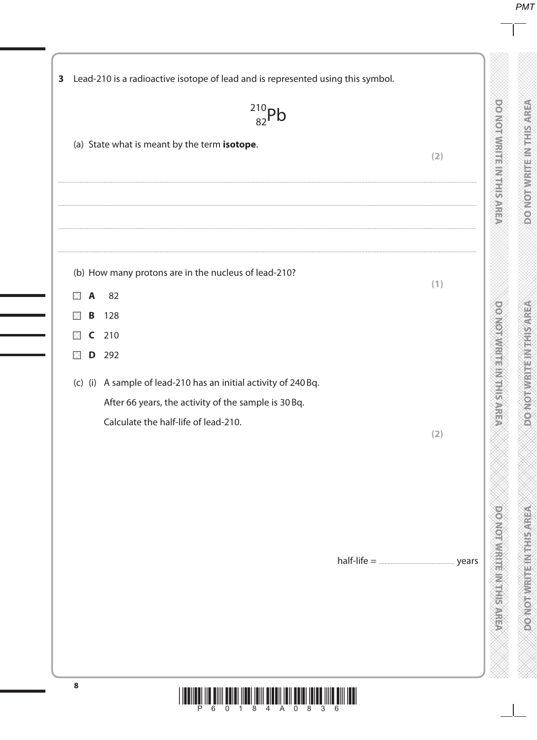|   | $^{210}Pb$<br>$82$ <sup><math>\degree</math></sup><br>(a) State what is meant by the term isotope. | (2) | <b>DOMORATION IS NOT</b>        |
|---|----------------------------------------------------------------------------------------------------|-----|---------------------------------|
|   |                                                                                                    |     |                                 |
|   | (b) How many protons are in the nucleus of lead-210?                                               | (1) |                                 |
| A | 82                                                                                                 |     |                                 |
| B | 128                                                                                                |     |                                 |
| C | 210                                                                                                |     |                                 |
| D | 292                                                                                                |     | 医皮肤的                            |
|   | (c) (i) A sample of lead-210 has an initial activity of 240 Bq.                                    |     |                                 |
|   | After 66 years, the activity of the sample is 30 Bq.                                               |     |                                 |
|   | Calculate the half-life of lead-210.                                                               | (2) |                                 |
|   |                                                                                                    |     |                                 |
|   |                                                                                                    |     |                                 |
|   |                                                                                                    |     |                                 |
|   |                                                                                                    |     |                                 |
|   |                                                                                                    |     |                                 |
|   |                                                                                                    |     |                                 |
|   |                                                                                                    |     |                                 |
|   |                                                                                                    |     | <b>PONDERN PRESENTED ASSESS</b> |
|   |                                                                                                    |     |                                 |
|   |                                                                                                    |     |                                 |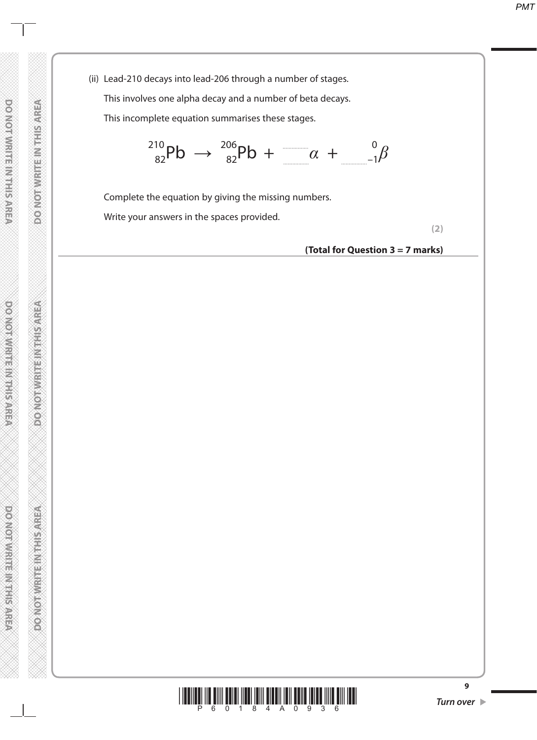(ii) Lead-210 decays into lead-206 through a number of stages. This involves one alpha decay and a number of beta decays. This incomplete equation summarises these stages.  $^{210}_{82}Pb \rightarrow {^{206}_{82}}Pb + {^{200}_{82}}a + {^{0}_{200}}a$  Complete the equation by giving the missing numbers. Write your answers in the spaces provided. **(2) (Total for Question 3 = 7 marks)**

**DOMORWATERNIFISAREA** 

**DO NOT WRITE IN THIS AREA**

**DOMORATION IN THIS AREA** 

**DO NOT WRITE IN THIS AREA DO NOT WRITE IN THIS AREA DO NOT WRITE IN THIS AREA**

**DOWNORMAN REPORTS ON A STATE** 

**DO NOT WRITE IN THIS AREA**

**PONOINHEINS PRESENT** 

**TERMS PERMIT EN NEUROONS**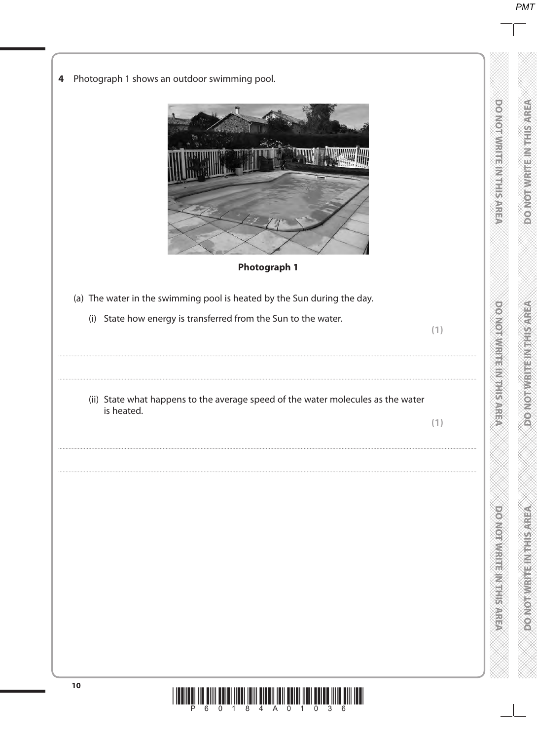4 Photograph 1 shows an outdoor swimming pool. **DONOTWRITE INTERESAREA DO NOTWRITEINTHS AREA Photograph 1** (a) The water in the swimming pool is heated by the Sun during the day. **DOATORWEST NATIONAL** (i) State how energy is transferred from the Sun to the water.  $(1)$ (ii) State what happens to the average speed of the water molecules as the water is heated.  $(1)$ **DOALORMARY STARFSOLIO WARE SERVERS** 10

> <u>6</u> 0 1 8 4 A 0 1 0 3 6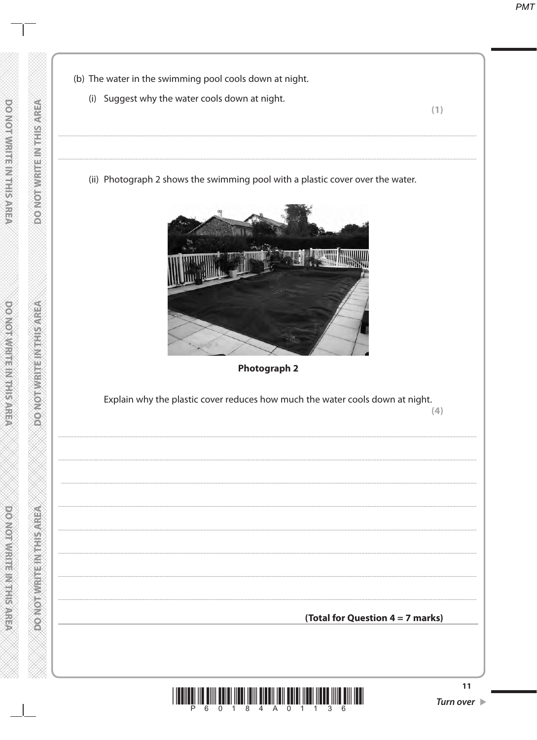(b) The water in the swimming pool cools down at night. (i) Suggest why the water cools down at night. **DOMOTWRITEINTHISMREA**  $(1)$ (ii) Photograph 2 shows the swimming pool with a plastic cover over the water. T HIMANI 医密度 **Photograph 2** 6 Explain why the plastic cover reduces how much the water cools down at night. Ž  $(4)$  $\frac{6}{10}$ G<br>P Ź  $\frac{1}{2}$ (Total for Question 4 = 7 marks)  $\frac{6}{2}$  $11$ 

**DO NOT WRITE IN THIS AREA** 

CONCRATE INTERNAT

eren.

**DOMOTOWRED WEBSTARTED** 

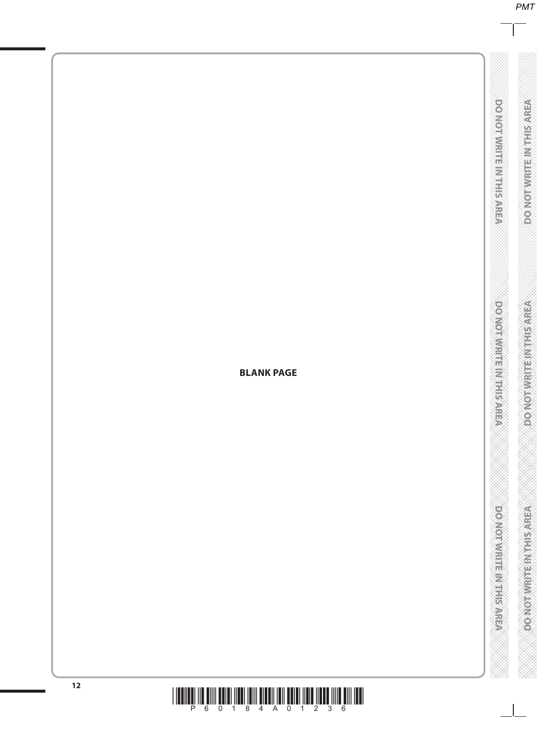**DO NOT WRITE IN THIS AREA** 

DO NOTWRITE IN THIS AREA

**DO NOT WRITE IN THIS AREA**

**DOMOTIVISTISTISTISTIST** 

**DO NOT WRITE IN THIS AREA DO NOT WRITE IN THIS AREA DO NOT WRITE IN THIS AREA**

**DONOTWERE NITHS AREA** 

**DO NOT WRITE IN THIS AREA**

**DO NOT WRITE INTHIS AREA** 

**DOMOTMENTE METERS AREA** 

**BLANK PAGE**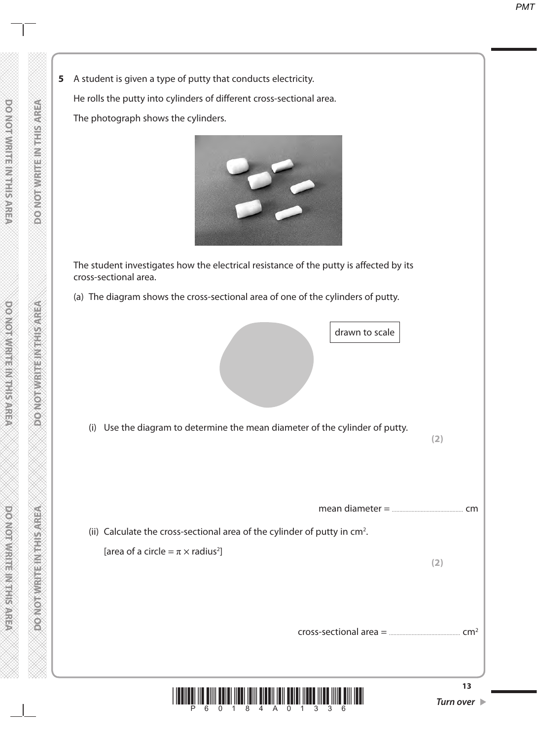**5** A student is given a type of putty that conducts electricity. He rolls the putty into cylinders of different cross-sectional area. The photograph shows the cylinders.



The student investigates how the electrical resistance of the putty is affected by its cross-sectional area.

(a) The diagram shows the cross-sectional area of one of the cylinders of putty.

drawn to scale

(i) Use the diagram to determine the mean diameter of the cylinder of putty.

**(2)**

**(2)**

mean diameter = ............................................... cm

cross-sectional area = ............................................... cm2

(ii) Calculate the cross-sectional area of the cylinder of putty in cm<sup>2</sup>.

[area of a circle =  $\pi \times$  radius<sup>2</sup>]



**DOMORWATERNIFISAREA** 

**DO NOT WRITE IN THIS AREA DO NOT WRITE IN THIS AREA DO NOT WRITE IN THIS AREA**

Ö<br>Ö

 $\frac{1}{2}$ 

**DO NOT WRITE IN THIS AREA**

**DONOTOWRIE MARINE RESERVE**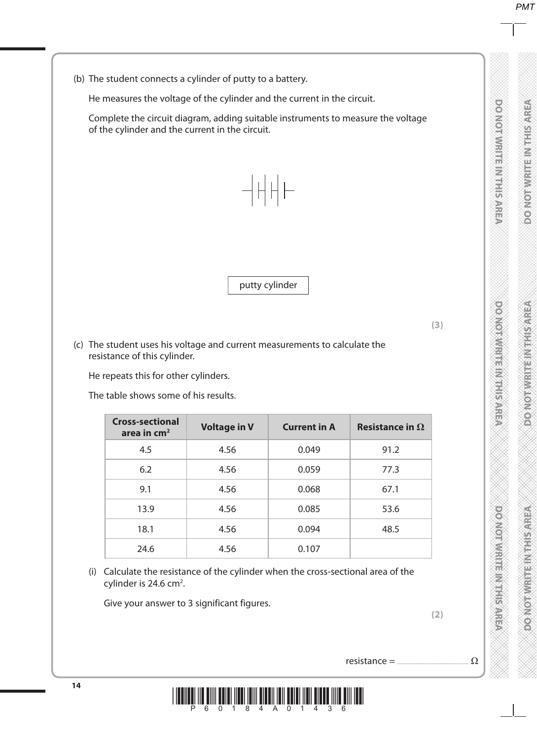**DO NOT WRITE INTHIS AREA** 

**DOXIGINAL HERMAN SALE** 

**DO NOT WRITE IN THIS AREA**

**DO NOT WRITE IN THIS AREA**

**MARKET WARRANTS** 



He measures the voltage of the cylinder and the current in the circuit.

 Complete the circuit diagram, adding suitable instruments to measure the voltage of the cylinder and the current in the circuit.



(c) The student uses his voltage and current measurements to calculate the resistance of this cylinder.

He repeats this for other cylinders.

The table shows some of his results.

| <b>Cross-sectional</b><br>area in $cm2$ | <b>Voltage in V</b> | <b>Current in A</b> | Resistance in $\Omega$ |
|-----------------------------------------|---------------------|---------------------|------------------------|
| 4.5                                     | 4.56                | 0.049               | 91.2                   |
| 6.2                                     | 4.56                | 0.059               | 77.3                   |
| 9.1                                     | 4.56                | 0.068               | 67.1                   |
| 13.9                                    | 4.56                | 0.085               | 53.6                   |
| 18.1                                    | 4.56                | 0.094               | 48.5                   |
| 24.6                                    | 4.56                | 0.107               |                        |

 (i) Calculate the resistance of the cylinder when the cross-sectional area of the cylinder is  $24.6$  cm<sup>2</sup>.

Give your answer to 3 significant figures.

**(2)**

**(3)**



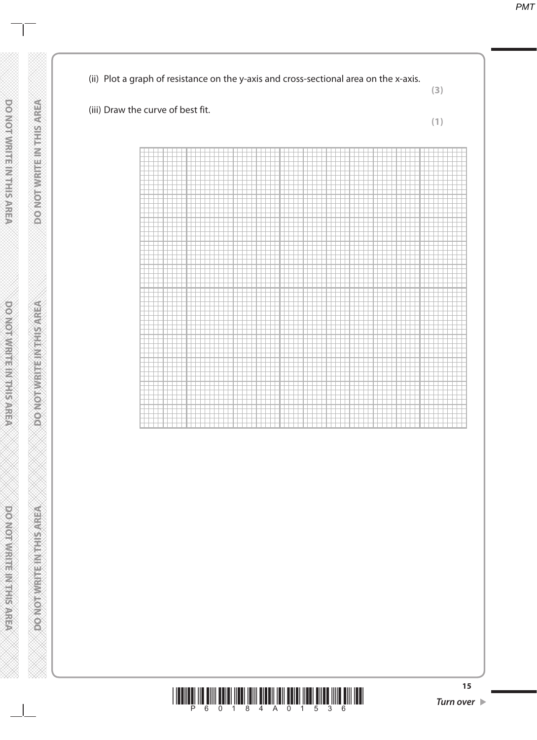

DO NOTWRITE IN THIS AREA

**DO NOT WRITE IN THIS AREA**

**DO NOT WRITE IN THIS AREA** 

**DO NOT WRITE IN THIS AREA**

**DONOMATE WAS STREET**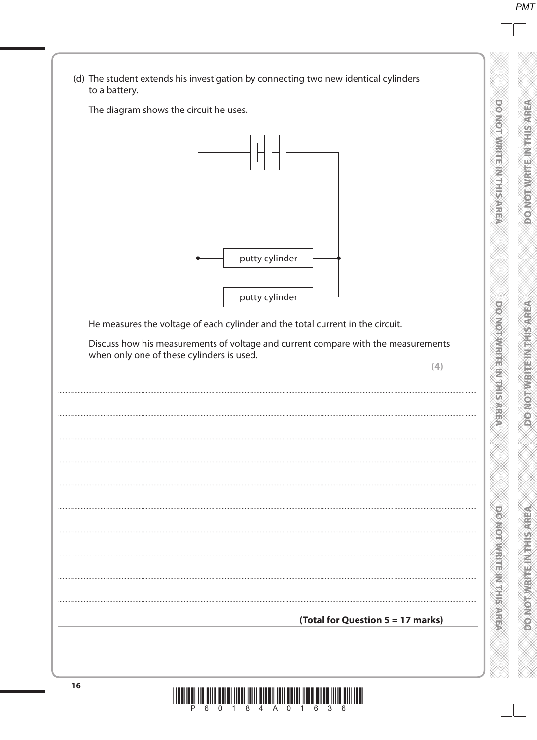(d) The student extends his investigation by connecting two new identical cylinders to a battery.

The diagram shows the circuit he uses.



He measures the voltage of each cylinder and the total current in the circuit.

Discuss how his measurements of voltage and current compare with the measurements when only one of these cylinders is used.

 $(4)$ 

**PMT** 

**DO NOTAWARE IN THE RATE** 

**DO NOTWRITEINTHS AREA** 

**DOATORWEST MARGAZIN** 

**DOALORMARY STARFSOLIO** 

**DOMOTOWRED NEEDS AND STREET** 

**OXAMATE ANTENDER** 

(Total for Question 5 = 17 marks)

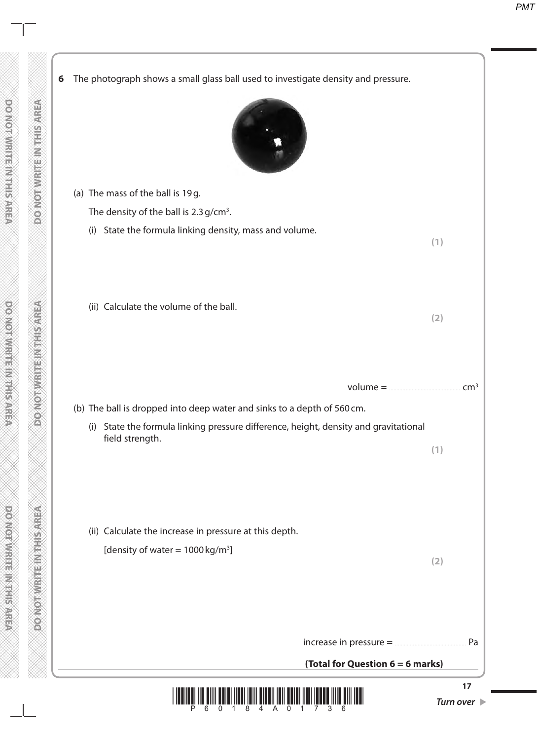**6** The photograph shows a small glass ball used to investigate density and pressure. (a) The mass of the ball is 19g. The density of the ball is  $2.3$  g/cm<sup>3</sup>. (i) State the formula linking density, mass and volume. **(1)** (ii) Calculate the volume of the ball. **(2)** volume = ............................................... cm3 (b) The ball is dropped into deep water and sinks to a depth of 560cm. (i) State the formula linking pressure difference, height, density and gravitational field strength. **(1)** (ii) Calculate the increase in pressure at this depth. [density of water  $=1000$  kg/m<sup>3</sup>] **(2)** increase in pressure = ............................................... Pa **(Total for Question 6 = 6 marks)**

**DO NOT WRITE IN THIS AREA**

**DO NOT WRITE IN THIS AREA** 

**DOMORWATERNIFISAREA** 

**DO NOT WRITE IN THIS AREA**

**DONOINMENTS HONES** 

**DO NOT WRITE IN THIS AREA DO NOT WRITE IN THIS AREA DO NOT WRITE IN THIS AREA**

Ö<br>Ö

 $\frac{1}{2}$ 

**MOTOR RESERVED** 

**DO NOT WRITE IN THIS AREA**

**DOMOTOWARE WAS LESSED** 



*Turn over*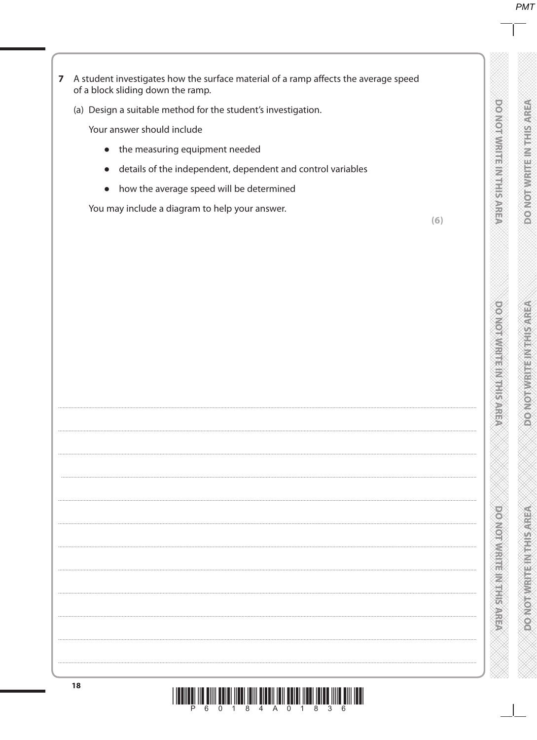**PONOTWRITE INTERNET** 

**DO NOTWRITEINTHS AREA** 

**DOATORWEST MARGAZIN** 

- 7 A student investigates how the surface material of a ramp affects the average speed of a block sliding down the ramp.
	- (a) Design a suitable method for the student's investigation.

Your answer should include

- the measuring equipment needed
- details of the independent, dependent and control variables
- how the average speed will be determined  $\bullet$

You may include a diagram to help your answer.

 $(6)$ 

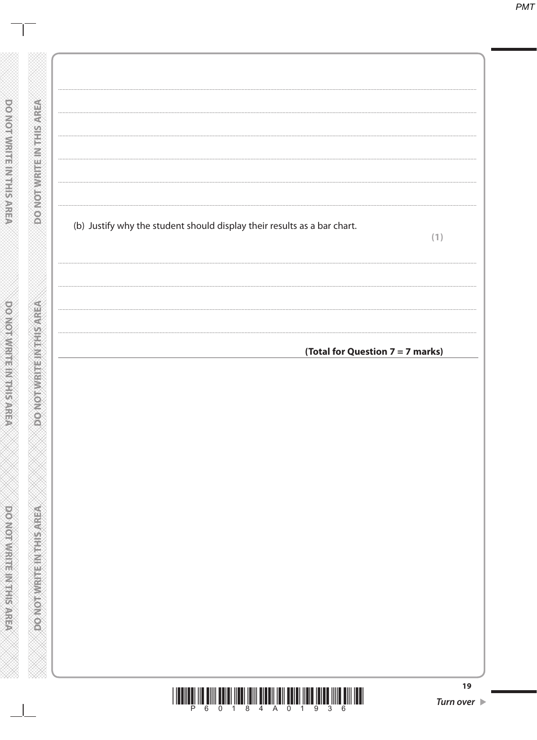| Ö<br>Ö<br><b>ROADORNIER REGIONOLOGIE</b> |                                                                                     |
|------------------------------------------|-------------------------------------------------------------------------------------|
|                                          | (Total for Question 7 = 7 marks)                                                    |
| AREA<br>Ŵ<br>m<br>R                      | <br>(b) Justify why the student should display their results as a bar chart.<br>(1) |

 $\sim$  1.0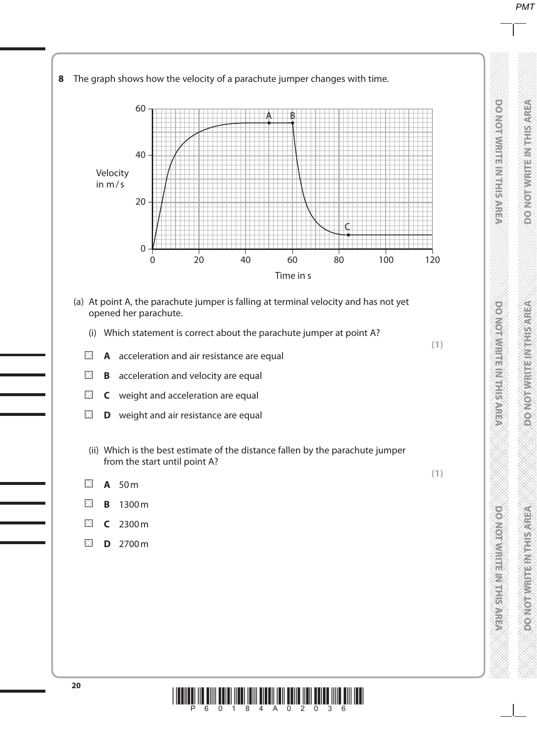

**BONOTWRITERNITERSARE** 

**DONORAN HERITARY SYLES** 

**DO NOT WRITE IN THIS AREA**

**DO NOT WRITE IN THIS AREA DO NOT WRITE IN THIS AREA DO NOT WRITE IN THIS AREA**

**PO NOTHER TERRITORIO** 

**DO NOT WRITE IN THIS AREA**

**EXPLANATION IN THE STORE**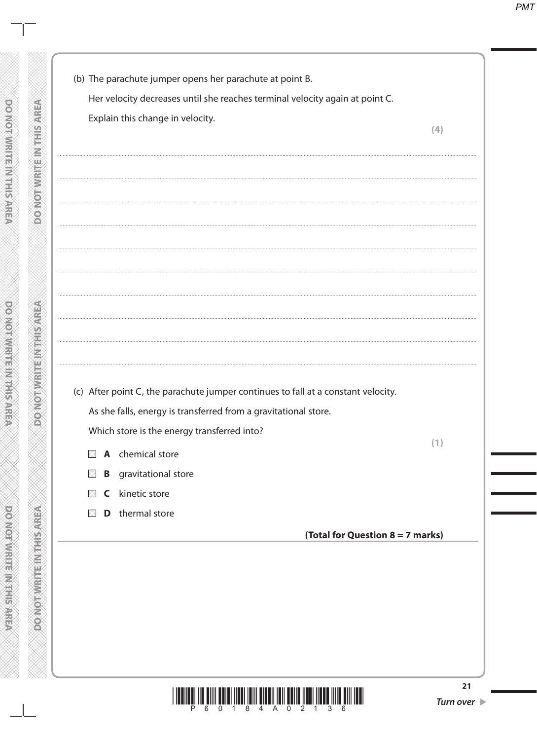$\overline{a}$ 

| Explain this change in velocity.<br>(4)<br>(c) After point C, the parachute jumper continues to fall at a constant velocity.<br>As she falls, energy is transferred from a gravitational store.<br>Which store is the energy transferred into?<br>(1)<br>chemical store<br>$\mathsf{A}$<br>gravitational store<br>B<br>kinetic store<br>$\mathsf{C}$<br>thermal store<br>D<br>(Total for Question 8 = 7 marks) | Her velocity decreases until she reaches terminal velocity again at point C. |  |
|----------------------------------------------------------------------------------------------------------------------------------------------------------------------------------------------------------------------------------------------------------------------------------------------------------------------------------------------------------------------------------------------------------------|------------------------------------------------------------------------------|--|
|                                                                                                                                                                                                                                                                                                                                                                                                                |                                                                              |  |
|                                                                                                                                                                                                                                                                                                                                                                                                                |                                                                              |  |
|                                                                                                                                                                                                                                                                                                                                                                                                                |                                                                              |  |
|                                                                                                                                                                                                                                                                                                                                                                                                                |                                                                              |  |
|                                                                                                                                                                                                                                                                                                                                                                                                                |                                                                              |  |
|                                                                                                                                                                                                                                                                                                                                                                                                                |                                                                              |  |
|                                                                                                                                                                                                                                                                                                                                                                                                                |                                                                              |  |
|                                                                                                                                                                                                                                                                                                                                                                                                                |                                                                              |  |
|                                                                                                                                                                                                                                                                                                                                                                                                                |                                                                              |  |
|                                                                                                                                                                                                                                                                                                                                                                                                                |                                                                              |  |
|                                                                                                                                                                                                                                                                                                                                                                                                                |                                                                              |  |
|                                                                                                                                                                                                                                                                                                                                                                                                                |                                                                              |  |
|                                                                                                                                                                                                                                                                                                                                                                                                                |                                                                              |  |
|                                                                                                                                                                                                                                                                                                                                                                                                                |                                                                              |  |
|                                                                                                                                                                                                                                                                                                                                                                                                                |                                                                              |  |
|                                                                                                                                                                                                                                                                                                                                                                                                                |                                                                              |  |
|                                                                                                                                                                                                                                                                                                                                                                                                                |                                                                              |  |
|                                                                                                                                                                                                                                                                                                                                                                                                                |                                                                              |  |
|                                                                                                                                                                                                                                                                                                                                                                                                                |                                                                              |  |
|                                                                                                                                                                                                                                                                                                                                                                                                                |                                                                              |  |
|                                                                                                                                                                                                                                                                                                                                                                                                                |                                                                              |  |
|                                                                                                                                                                                                                                                                                                                                                                                                                |                                                                              |  |
|                                                                                                                                                                                                                                                                                                                                                                                                                |                                                                              |  |
|                                                                                                                                                                                                                                                                                                                                                                                                                |                                                                              |  |
|                                                                                                                                                                                                                                                                                                                                                                                                                |                                                                              |  |

**DO NOTWRITE IN THIS AREA** 

DOGYMANTENNEN SYSTEM

**DOMOTIVIAL INSTITUTION**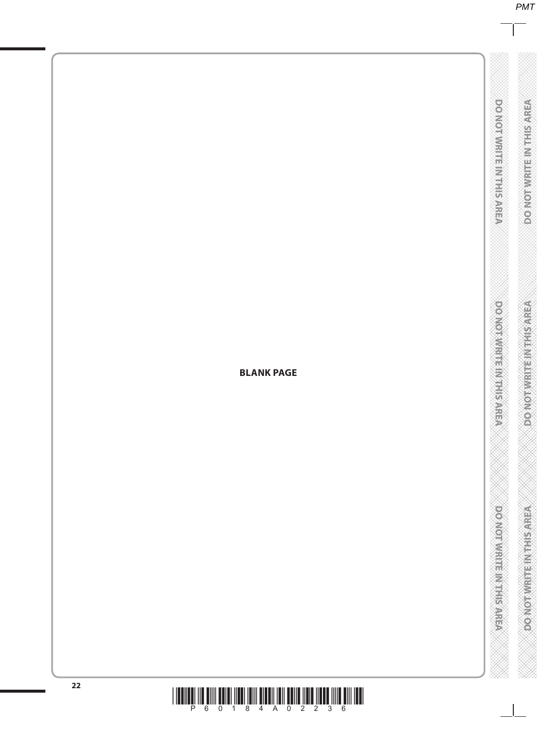**BLANK PAGE**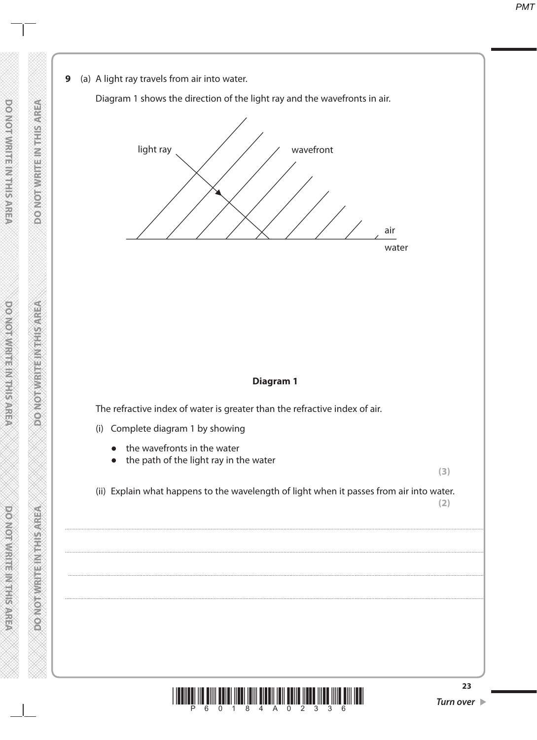**9** (a) A light ray travels from air into water.

Diagram 1 shows the direction of the light ray and the wavefronts in air.



## **Diagram 1**

(ii) Explain what happens to the wavelength of light when it passes from air into water.

....................................................................................................................................................................................................................................................................................

....................................................................................................................................................................................................................................................................................

..................................................................................................................................................................................................................................................................................

....................................................................................................................................................................................................................................................................................

The refractive index of water is greater than the refractive index of air.

(i) Complete diagram 1 by showing

● the wavefronts in the water

● the path of the light ray in the water

**(3)**

**(2)**

ő<br>Ö

 $\frac{1}{2}$ 

**DO NOT WRITE IN THIS AREA**

**PONOINT MARKET MARKET STREET** 

**DOMORWATERNIFISAREA**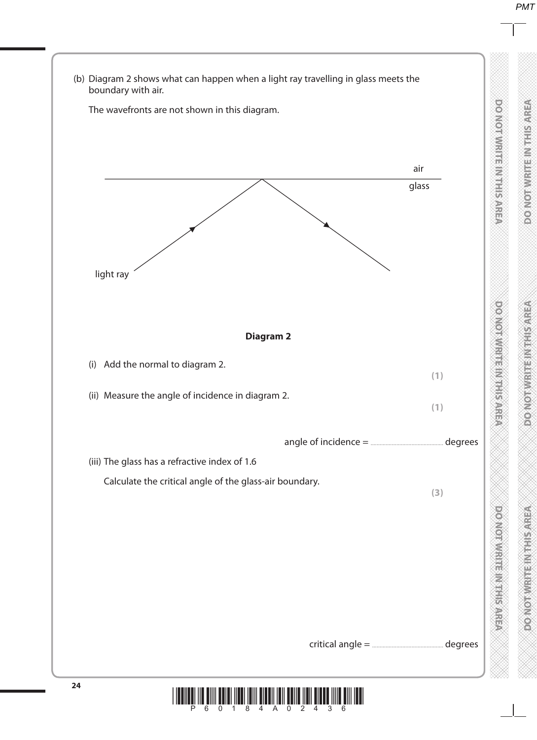

**DO NOT WRITE IN THIS AREA DO NOT WRITE IN THIS AREA DO NOT WRITE IN THIS AREA**

**DOATORWEST MARGAZIN** 

**RESPONDED AS A PROPERTY** 

*PMT*

**DO NOTWRITEINTH SWITCH** 

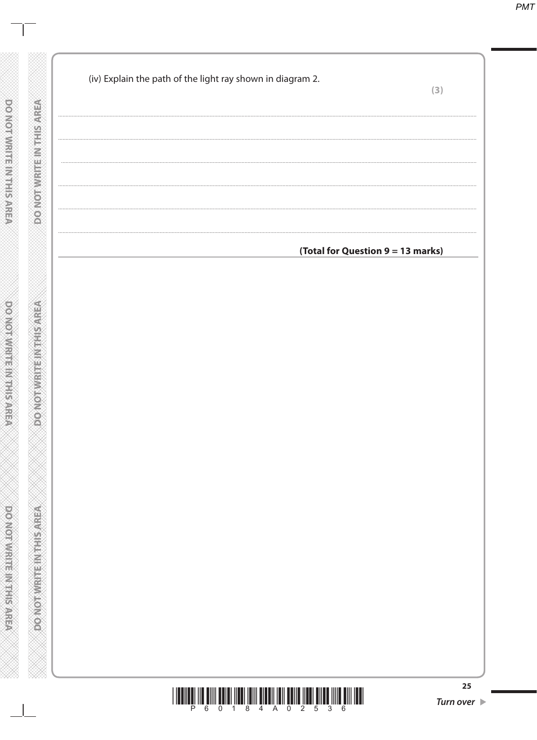|                                 |                                                      | (iv) Explain the path of the light ray shown in diagram 2.                                                                                                                                                                                                                                                                                                                                                                                                                                                                             | (3)                                   |
|---------------------------------|------------------------------------------------------|----------------------------------------------------------------------------------------------------------------------------------------------------------------------------------------------------------------------------------------------------------------------------------------------------------------------------------------------------------------------------------------------------------------------------------------------------------------------------------------------------------------------------------------|---------------------------------------|
| <b>DOMOIWINE INTERNET</b>       | Ø                                                    |                                                                                                                                                                                                                                                                                                                                                                                                                                                                                                                                        |                                       |
|                                 | ш                                                    |                                                                                                                                                                                                                                                                                                                                                                                                                                                                                                                                        |                                       |
|                                 | <br>$\begin{bmatrix} 0 \\ 0 \\ 0 \\ 0 \end{bmatrix}$ |                                                                                                                                                                                                                                                                                                                                                                                                                                                                                                                                        |                                       |
|                                 |                                                      |                                                                                                                                                                                                                                                                                                                                                                                                                                                                                                                                        |                                       |
|                                 |                                                      | (Total for Question 9 = 13 marks)                                                                                                                                                                                                                                                                                                                                                                                                                                                                                                      |                                       |
|                                 |                                                      |                                                                                                                                                                                                                                                                                                                                                                                                                                                                                                                                        |                                       |
| concentrations in the state     |                                                      |                                                                                                                                                                                                                                                                                                                                                                                                                                                                                                                                        |                                       |
|                                 |                                                      |                                                                                                                                                                                                                                                                                                                                                                                                                                                                                                                                        |                                       |
| 뵹                               | ø                                                    |                                                                                                                                                                                                                                                                                                                                                                                                                                                                                                                                        |                                       |
|                                 |                                                      |                                                                                                                                                                                                                                                                                                                                                                                                                                                                                                                                        |                                       |
|                                 |                                                      |                                                                                                                                                                                                                                                                                                                                                                                                                                                                                                                                        |                                       |
| <b>DO NOTIVIRITE INTERESSER</b> | <b>RENASH RENEWS ONGE</b>                            |                                                                                                                                                                                                                                                                                                                                                                                                                                                                                                                                        |                                       |
|                                 |                                                      |                                                                                                                                                                                                                                                                                                                                                                                                                                                                                                                                        |                                       |
|                                 |                                                      |                                                                                                                                                                                                                                                                                                                                                                                                                                                                                                                                        |                                       |
|                                 |                                                      |                                                                                                                                                                                                                                                                                                                                                                                                                                                                                                                                        |                                       |
|                                 |                                                      | $\begin{array}{c} \text{if } \begin{array}{c} \text{if } \begin{array}{c} \text{if } \begin{array}{c} \text{if } \begin{array}{c} \text{if } \begin{array}{c} \text{if } \begin{array}{c} \text{if } \begin{array}{c} \text{if } \begin{array}{c} \text{if } \begin{array}{c} \text{if } \begin{array}{c} \text{if } \begin{array}{c} \text{if } \begin{array}{c} \text{if } \begin{array}{c} \text{if } \begin{array}{c} \text{if } \begin{array}{c} \text{if } \begin{array}{c} \text{if } \begin{array}{c} \text{if } \begin{array$ | 25<br>Turn over $\blacktriangleright$ |

 $\overline{\phantom{a}}$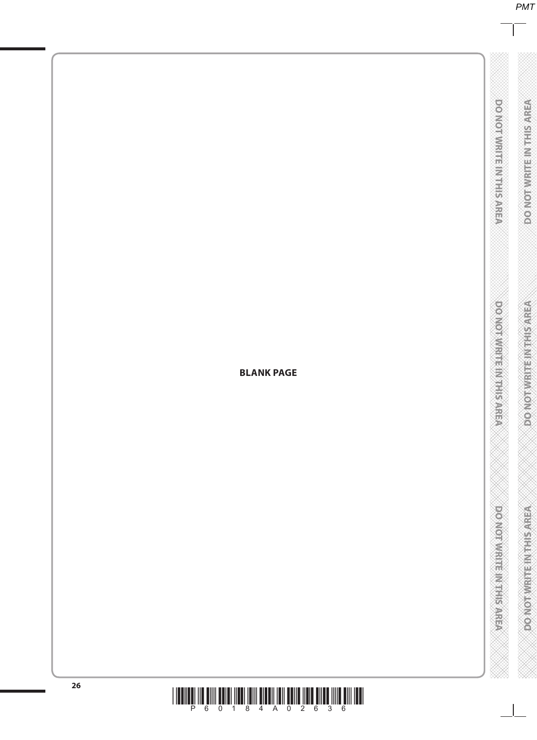**DOMOTMENTE METERS AREA** 

**DO NOT WRITEIN THIS AREA** 

**BLANK PAGE**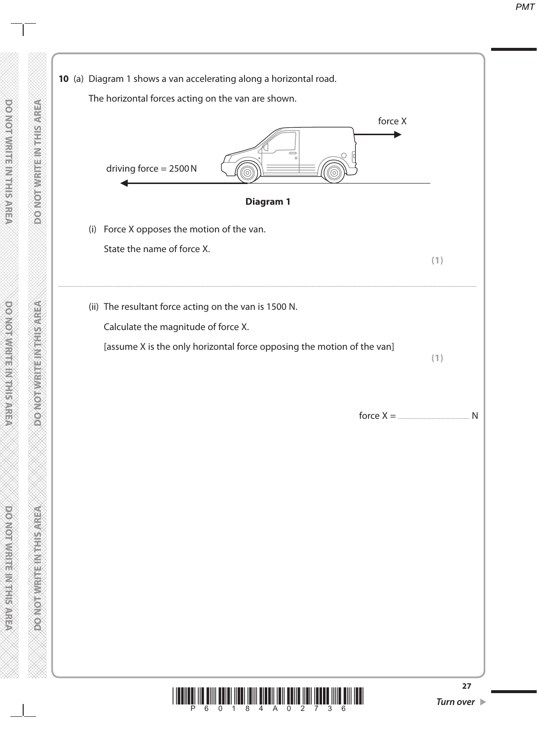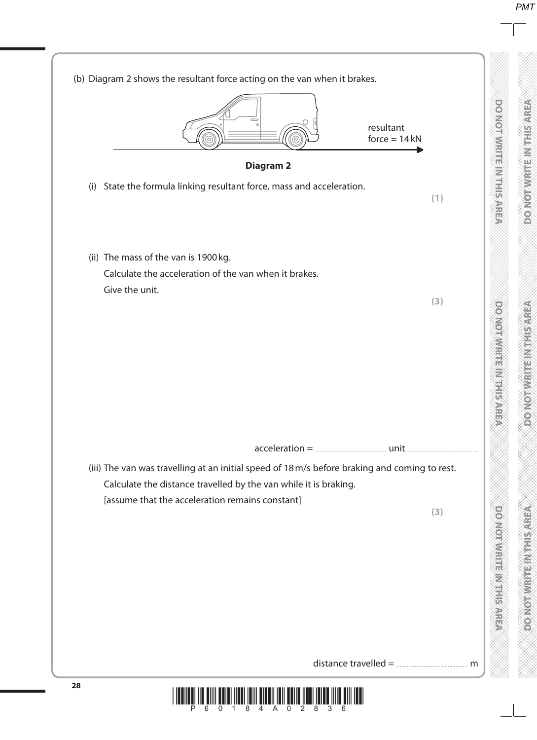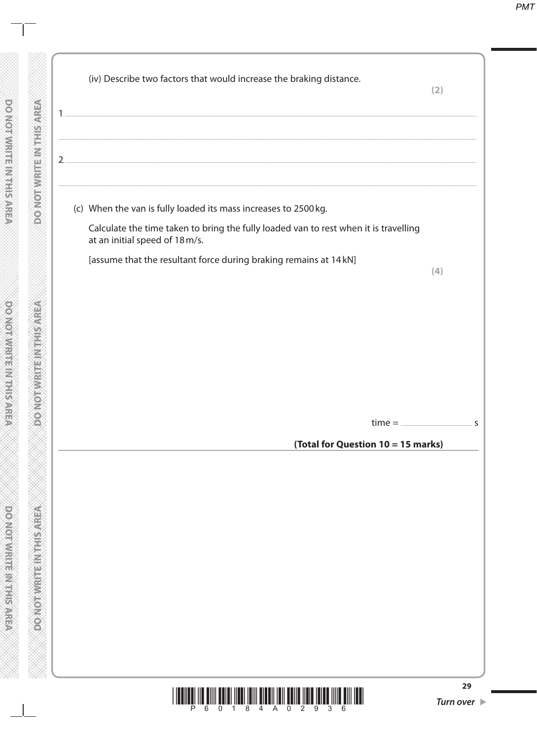|                                | (iv) Describe two factors that would increase the braking distance.                  | (2) |  |  |  |
|--------------------------------|--------------------------------------------------------------------------------------|-----|--|--|--|
| 1.                             |                                                                                      |     |  |  |  |
|                                | (c) When the van is fully loaded its mass increases to 2500 kg.                      |     |  |  |  |
| at an initial speed of 18 m/s. | Calculate the time taken to bring the fully loaded van to rest when it is travelling |     |  |  |  |
|                                | [assume that the resultant force during braking remains at 14 kN]                    | (4) |  |  |  |
|                                |                                                                                      |     |  |  |  |
|                                |                                                                                      |     |  |  |  |
|                                |                                                                                      |     |  |  |  |
|                                |                                                                                      |     |  |  |  |
|                                | (Total for Question 10 = 15 marks)                                                   |     |  |  |  |
|                                |                                                                                      |     |  |  |  |
|                                |                                                                                      |     |  |  |  |
|                                |                                                                                      |     |  |  |  |
|                                |                                                                                      |     |  |  |  |
|                                |                                                                                      |     |  |  |  |
|                                |                                                                                      |     |  |  |  |
|                                |                                                                                      |     |  |  |  |
|                                |                                                                                      |     |  |  |  |

 $\Box\Box$ 

**DONOTWRITEINTHIS AREA** 

**DO NOT METER IN THIS AREA** 

e de la composición de la composición de la composición de la composición de la composición de la composición<br>La composición

**CONDITIONS THE MEANS AREA** 

 $\perp$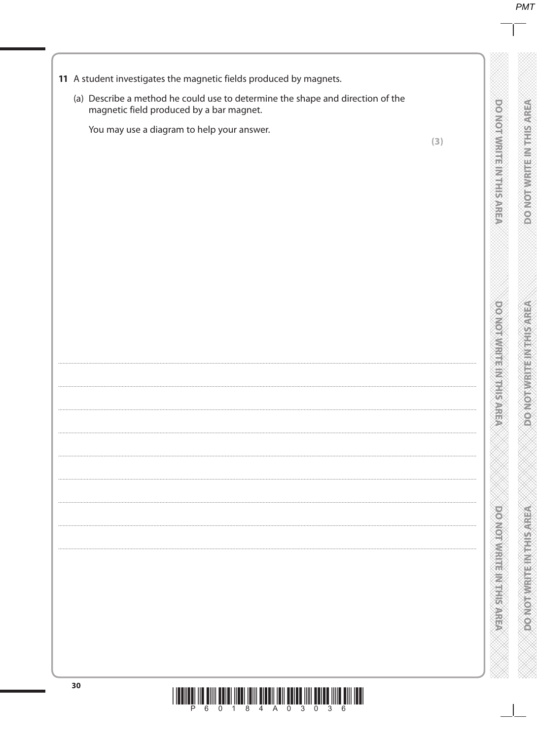

|  |  |  |  |  | 11 A student investigates the magnetic fields produced by magnets. |
|--|--|--|--|--|--------------------------------------------------------------------|
|--|--|--|--|--|--------------------------------------------------------------------|

(a) Describe a method he could use to determine the shape and direction of the magnetic field produced by a bar magnet.

You may use a diagram to help your answer.

 $(3)$ 

**DONOTWRITE IN THIS AREA** 

**DONOTWRITEINTHISMREA** 

poworman and the management

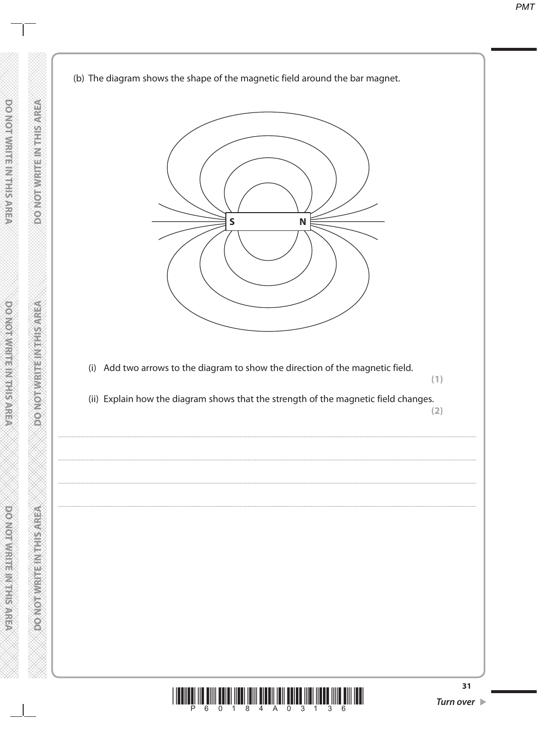

 $\overline{P}$ 

**DO NOTWRITE IN THIS AREA** 

**DOMOTIVISTIC MARKER** 

**DO NOT WRITE IN THIS AREA**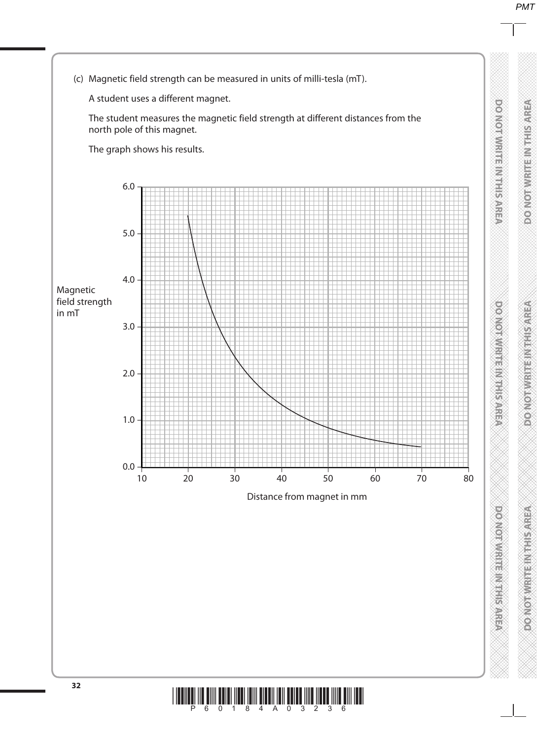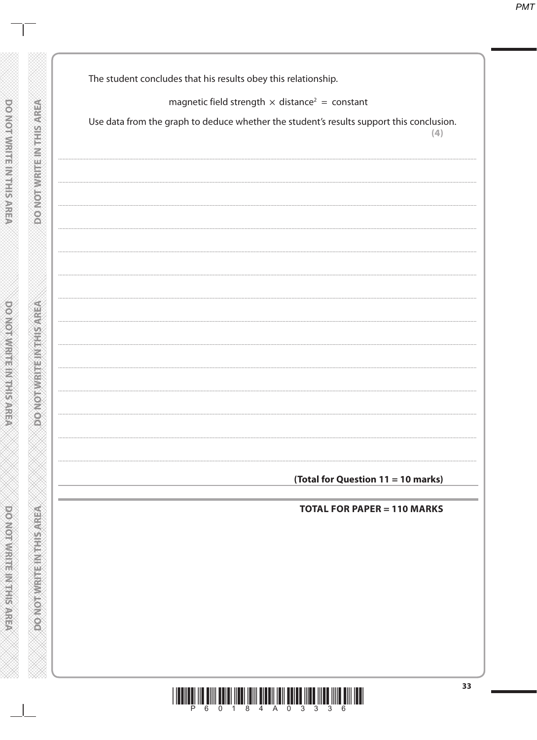| The student concludes that his results obey this relationship.<br>magnetic field strength $\times$ distance <sup>2</sup> = constant |
|-------------------------------------------------------------------------------------------------------------------------------------|
| Use data from the graph to deduce whether the student's results support this conclusion.                                            |
| (4)                                                                                                                                 |
|                                                                                                                                     |
|                                                                                                                                     |
|                                                                                                                                     |
|                                                                                                                                     |
|                                                                                                                                     |
|                                                                                                                                     |
|                                                                                                                                     |
|                                                                                                                                     |
|                                                                                                                                     |
|                                                                                                                                     |
|                                                                                                                                     |
|                                                                                                                                     |
|                                                                                                                                     |
|                                                                                                                                     |
|                                                                                                                                     |
| (Total for Question 11 = 10 marks)                                                                                                  |
| <b>TOTAL FOR PAPER = 110 MARKS</b>                                                                                                  |
|                                                                                                                                     |
|                                                                                                                                     |
|                                                                                                                                     |
|                                                                                                                                     |
|                                                                                                                                     |
|                                                                                                                                     |
|                                                                                                                                     |
|                                                                                                                                     |

**DOMOTIVISTIS INTERNATION** 

**DO NOT WELFER MEETINGS** 

 $\frac{1}{2}$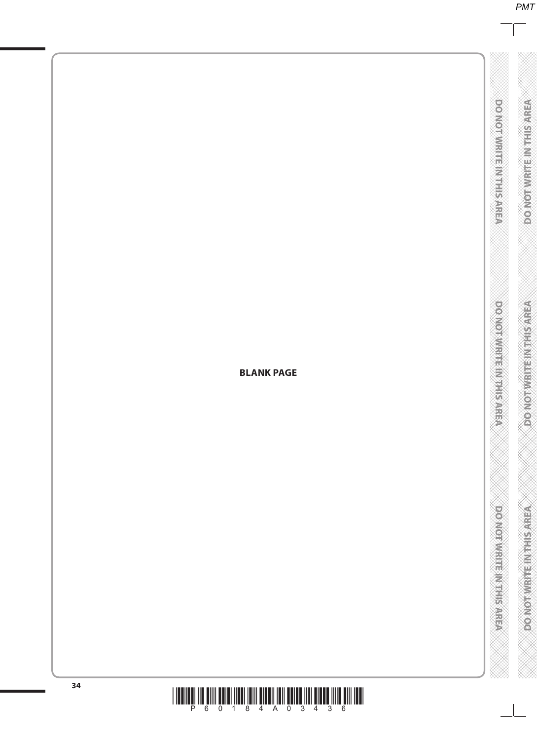**DOMOTMENTE METERS AREA** 

**DO NOT WRITE IN THIS AREA**

**DOMOTIVISTISTISTISTIST** 

**DO NOT WRITEIN THIS AREA** 

**BLANK PAGE**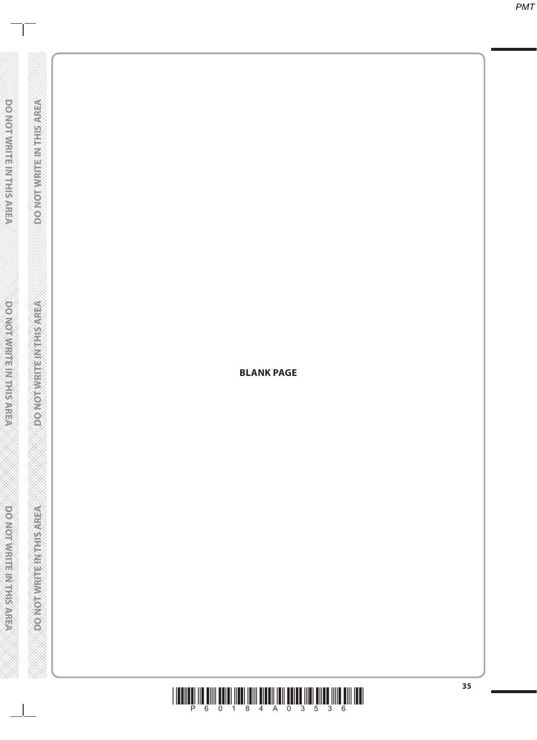

**DONOTHER METHODS** 

**DONOTWRITEINTHSAREA** 

DO NOT WRITE IN THIS AREA **DO NOT WRITE IN THIS AREA DO NOT WRITE IN THIS AREA DO NOT WRITE IN THIS AREA**

a ka

# **BLANK PAGE**